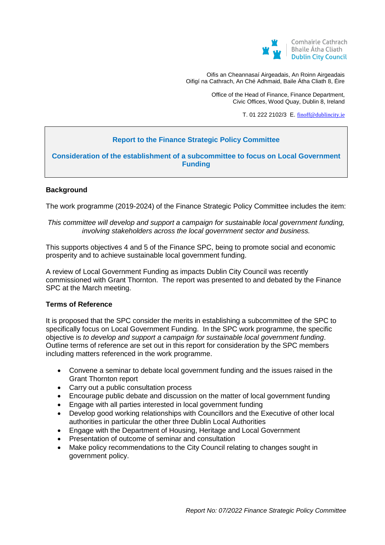

Oifis an Cheannasaí Airgeadais, An Roinn Airgeadais Oifigí na Cathrach, An Ché Adhmaid, Baile Átha Cliath 8, Éire

> Office of the Head of Finance, Finance Department, Civic Offices, Wood Quay, Dublin 8, Ireland

> > T. 01 222 2102/3 E. [finoff@dublincity.ie](mailto:finoff@dublincity.ie)

# **Report to the Finance Strategic Policy Committee**

**Consideration of the establishment of a subcommittee to focus on Local Government Funding** 

## **Background**

The work programme (2019-2024) of the Finance Strategic Policy Committee includes the item:

## *This committee will develop and support a campaign for sustainable local government funding, involving stakeholders across the local government sector and business.*

This supports objectives 4 and 5 of the Finance SPC, being to promote social and economic prosperity and to achieve sustainable local government funding.

A review of Local Government Funding as impacts Dublin City Council was recently commissioned with Grant Thornton. The report was presented to and debated by the Finance SPC at the March meeting.

## **Terms of Reference**

It is proposed that the SPC consider the merits in establishing a subcommittee of the SPC to specifically focus on Local Government Funding. In the SPC work programme, the specific objective is *to develop and support a campaign for sustainable local government funding*. Outline terms of reference are set out in this report for consideration by the SPC members including matters referenced in the work programme.

- Convene a seminar to debate local government funding and the issues raised in the Grant Thornton report
- Carry out a public consultation process
- Encourage public debate and discussion on the matter of local government funding
- Engage with all parties interested in local government funding
- Develop good working relationships with Councillors and the Executive of other local authorities in particular the other three Dublin Local Authorities
- Engage with the Department of Housing, Heritage and Local Government
- Presentation of outcome of seminar and consultation
- Make policy recommendations to the City Council relating to changes sought in government policy.